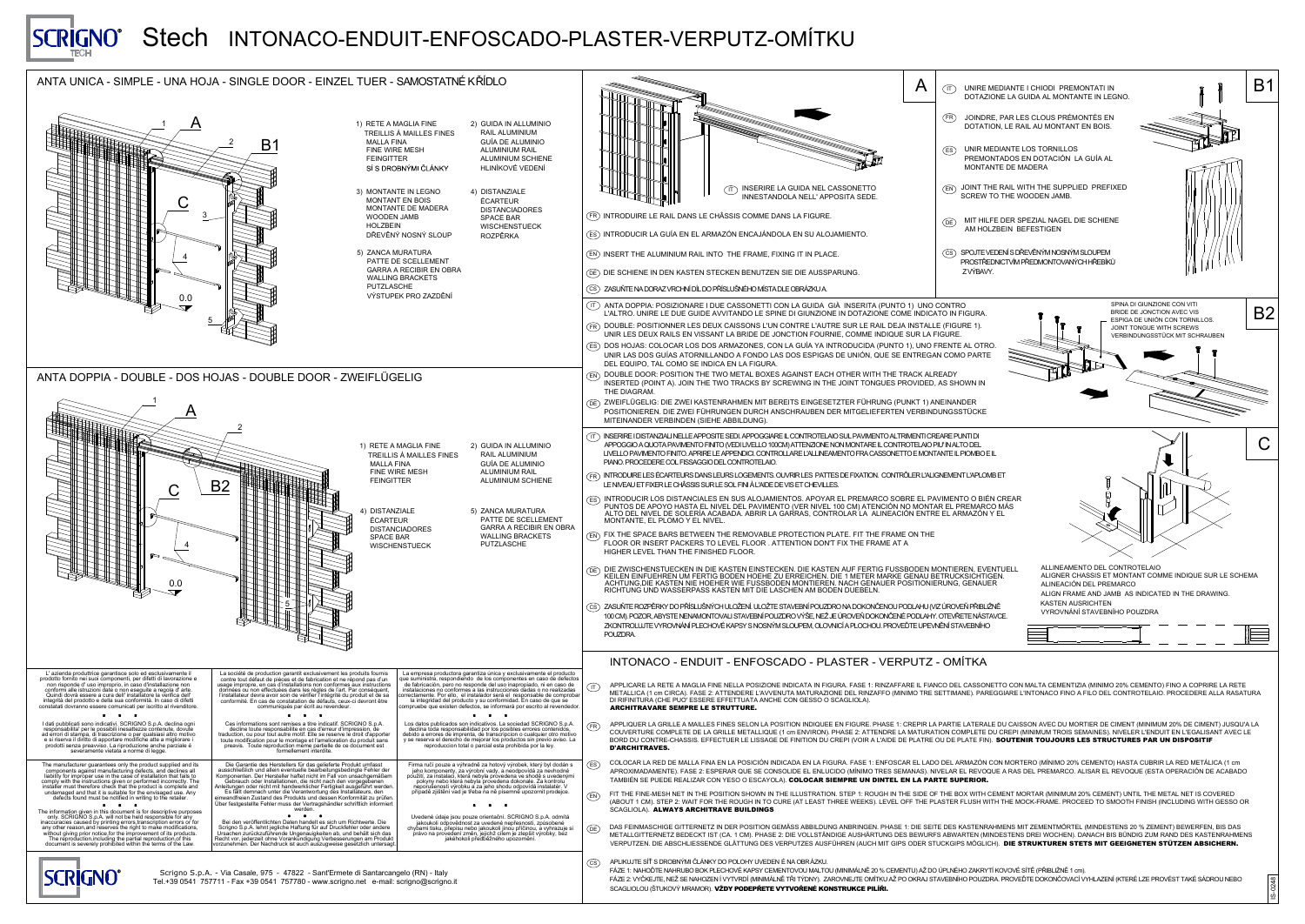

ANTA UNICA - SIMPLE - UNA HOJA - SINGLE DOOR - EINZEL

|                                                                                                                                                                                                                                                                                                                                                                                                             | $\left(\begin{array}{c} \end{array}\right  \mathsf{T}$ | UNIRE MEDIANTE I CHIOI                                                          |                                                  |
|-------------------------------------------------------------------------------------------------------------------------------------------------------------------------------------------------------------------------------------------------------------------------------------------------------------------------------------------------------------------------------------------------------------|--------------------------------------------------------|---------------------------------------------------------------------------------|--------------------------------------------------|
|                                                                                                                                                                                                                                                                                                                                                                                                             |                                                        | <b>DOTAZIONE LA GUIDA AL</b>                                                    |                                                  |
|                                                                                                                                                                                                                                                                                                                                                                                                             | $(\mathsf{FR}\,)$                                      | JOINDRE, PAR LES CLOU<br>DOTATION, LE RAIL AU M                                 |                                                  |
|                                                                                                                                                                                                                                                                                                                                                                                                             | $(\mathsf{ES})$                                        | UNIR MEDIANTE LOS TOP<br><b>PREMONTADOS EN DOT</b><br><b>MONTANTE DE MADERA</b> |                                                  |
| INSERIRE LA GUIDA NEL CASSONETTO<br>$\left( \, \mathsf{T}\,\right)$<br>INNESTANDOLA NELL' APPOSITA SEDE.                                                                                                                                                                                                                                                                                                    | $(\mathsf{EN})$                                        | JOINT THE RAIL WITH THE<br><b>SCREW TO THE WOODEN</b>                           |                                                  |
| INTRODUIRE LE RAIL DANS LE CHÂSSIS COMME DANS LA FIGURE.                                                                                                                                                                                                                                                                                                                                                    | $($ DE $)$                                             | MIT HILFE DER SPEZIAL I                                                         |                                                  |
| INTRODUCIR LA GUÍA EN EL ARMAZÓN ENCAJÁNDOLA EN SU ALOJAMIENTO.                                                                                                                                                                                                                                                                                                                                             |                                                        | AM HOLZBEIN BEFESTIG                                                            |                                                  |
| INSERT THE ALUMINIUM RAIL INTO THE FRAME, FIXING IT IN PLACE.                                                                                                                                                                                                                                                                                                                                               | $\mathsf{(CS)}$                                        | SPOJTE VEDENÍ S DŘEVĚNÝM<br>PROSTŘEDNICTVÍM PŘEDMOI<br>ZVÝBAVY.                 |                                                  |
| DIE SCHIENE IN DEN KASTEN STECKEN BENUTZEN SIE DIE AUSSPARUNG.<br>ZASUŇTE NA DORAZ VRCHNÍ DÍL DO PŘÍSLUŠNÉHO MÍSTA DLE OBRÁZKU A.                                                                                                                                                                                                                                                                           |                                                        |                                                                                 |                                                  |
| ANTA DOPPIA: POSIZIONARE I DUE CASSONETTI CON LA GUIDA GIÀ INSERITA (PUNTO 1) UNO CONTRO<br>L'ALTRO. UNIRE LE DUE GUIDE AVVITANDO LE SPINE DI GIUNZIONE IN DOTAZIONE COME INDICATO IN FIGURA.<br>DOUBLE: POSITIONNER LES DEUX CAISSONS L'UN CONTRE L'AUTRE SUR LE RAIL DEJA INSTALLE (FIGURE 1).                                                                                                            |                                                        |                                                                                 |                                                  |
| UNIR LES DEUX RAILS EN VISSANT LA BRIDE DE JONCTION FOURNIE, COMME INDIQUE SUR LA FIGURE.                                                                                                                                                                                                                                                                                                                   |                                                        |                                                                                 |                                                  |
| DOS HOJAS: COLOCAR LOS DOS ARMAZONES, CON LA GUÍA YA INTRODUCIDA (PUNTO 1), UNO FRENTE AL OTRO.<br>UNIR LAS DOS GUÍAS ATORNILLANDO A FONDO LAS DOS ESPIGAS DE UNIÓN, QUE SE ENTREGAN COMO PARTE<br>DEL EQUIPO, TAL COMO SE INDICA EN LA FIGURA.                                                                                                                                                             |                                                        |                                                                                 |                                                  |
| DOUBLE DOOR: POSITION THE TWO METAL BOXES AGAINST EACH OTHER WITH THE TRACK ALREADY<br>INSERTED (POINT A). JOIN THE TWO TRACKS BY SCREWING IN THE JOINT TONGUES PROVIDED, AS SHOWN IN<br>THE DIAGRAM.                                                                                                                                                                                                       |                                                        |                                                                                 |                                                  |
| ZWEIFLÜGELIG: DIE ZWEI KASTENRAHMEN MIT BEREITS EINGESETZTER FÜHRUNG (PUNKT 1) ANEINANDER<br>POSITIONIEREN. DIE ZWEI FÜHRUNGEN DURCH ANSCHRAUBEN DER MITGELIEFERTEN VERBINDUNGSSTÜCKE<br>MITEINANDER VERBINDEN (SIEHE ABBILDUNG).                                                                                                                                                                           |                                                        |                                                                                 |                                                  |
| INSERIRE I DISTANZIALI NELLE APPOSITE SEDI. APPOGGIARE IL CONTROTELAIO SUL PAVIMENTO ALTRIMENTI CREARE PUNTI DI<br>APPOGGIO A QUOTA PAVIMENTO FINITO (VEDI LIVELLO 100CM) ATTENZIONE NON MONTARE IL CONTROTELAIO PIU' IN ALTO DEL<br>LIVELLO PAVIMENTO FINITO. APRIRE LE APPENDICI. CONTROLLARE L'ALLINEAMENTO FRA CASSONETTO E MONTANTE IL PIOMBO E IL<br>PIANO. PROCEDERE COL FISSAGGIO DEL CONTROTELAIO. |                                                        |                                                                                 |                                                  |
| INTRODUIRE LES ÉCARTEURS DANS LEURS LOGEMENTS. OUVRIR LES PATTES DE FIXATION. CONTRÔLER L'ALIGNEMENT L'APLOMB ET<br>LE NIVEAU ET FIXER LE CHÂSSIS SUR LE SOL FINI À L'AIDE DE VIS ET CHEVILLES.                                                                                                                                                                                                             |                                                        |                                                                                 |                                                  |
| INTRODUCIR LOS DISTANCIALES EN SUS ALOJAMIENTOS. APOYAR EL PREMARCO SOBRE EL PAVIMENTO O BIÉN CREAR<br>PUNTOS DE APOYO HASTA EL NIVEL DEL PAVIMENTO (VER NIVEL 100 CM) ATENCIÓN NO MONTAR EL PREMARCO MÁS<br>ALTO DEL NIVEL DE SOLERÍA ACABADA. ABRIR LA GARRAS, CONTROLAR LA ALINEACIÓN ENTRE EL ARMAZÓN Y EL<br>MONTANTE, EL PLOMO Y EL NIVEL.                                                            |                                                        |                                                                                 |                                                  |
| FIX THE SPACE BARS BETWEEN THE REMOVABLE PROTECTION PLATE. FIT THE FRAME ON THE<br>FLOOR OR INSERT PACKERS TO LEVEL FLOOR . ATTENTION DON'T FIX THE FRAME AT A<br>HIGHER LEVEL THAN THE FINISHED FLOOR.                                                                                                                                                                                                     |                                                        |                                                                                 |                                                  |
| DIE ZWISCHENSTUECKEN IN DIE KASTEN EINSTECKEN. DIE KASTEN AUF FERTIG FUSSBODEN MONTIEREN, EVENTUELL<br>KEILEN EINFUEHREN UM FERTIG BODEN HOEHE ZU ERREICHEN. DIE 1 METER MARKE GENAU BETRUCKSICHTIGEN.<br>ACHTUNG, DIE KASTEN NIE HOEHER WIE FUSSBODEN MONTIEREN. NACH GENAUER POSITIONIERUNG, GENAUER<br>RICHTUNG UND WASSERPASS KASTEN MIT DIE LASCHEN AM BODEN DUEBELN.                                  |                                                        |                                                                                 | <b>AL</b><br><b>AL</b><br><b>AL</b><br><b>AL</b> |
| ZASUŇTE ROZPĚRKY DO PŘÍSLUŠNÝCH ULOŽENÍ. ULOŽTE STAVEBNÍ POUZDRO NA DOKONČENOU PODLAHU (VIZ ÚROVEŇ PŘIBLIŽNĚ<br>100 CM). POZOR, ABYSTE NENAMONTOVALI STAVEBNÍ POUZDRO VÝŠE, NEŽ JE ÚROVEŇ DOKONČENÉ PODLAHY. OTEVŘETE NÁSTAVCE.<br>ZKONTROLUJTE VYROVNÁNÍ PLECHOVÉ KAPSY S NOSNÝM SLOUPEM, OLOVNICÍ A PLOCHOU. PROVEĎTE UPEVNĚNÍ STAVEBNÍHO<br>POUZDRA.                                                     |                                                        |                                                                                 | KA<br><b>VY</b>                                  |
| INTONACO - ENDUIT - ENFOSCADO - PLASTER - VERPUTZ - OMÍTKA                                                                                                                                                                                                                                                                                                                                                  |                                                        |                                                                                 |                                                  |

ALIA FINE NELLA POSIZIONE INDICATA IN FIGURA. FASE 1: RINZAFFARE IL FIANCO DEL CASSONETTO CON MALTA CEMENTIZIA (MINIMO 20% CEMENTO) FINO A COPRIRE LA RETE ASE 2: ATTENDERE L'AVVENUTA MATURAZIONE DEL RINZAFFO (MINIMO TRE SETTIMANE). PAREGGIARE L'INTONACO FINO A FILO DEL CONTROTELAIO. PROCEDERE ALLA RASATURA SSERE EFFETTUATA ANCHE CON GESSO O SCAGLIOLA).

AILLES FINES SELON LA POSITION INDIQUEE EN FIGURE. PHASE 1: CREPIR LA PARTIE LATERALE DU CAISSON AVEC DU MORTIER DE CIMENT (MINIMUM 20% DE CIMENT) JUSQU'A LA DE LA GRILLE METALLIQUE (1 cm ENVIRON). PHASE 2: ATTENDRE LA MATURATION COMPLETE DU CREPI (MINIMUM TROIS SEMAINES). NIVELER L'ENDUIT EN L'EGALISANT AVEC LE . EFFECTUER LE LISSAGE DE FINITION DU CREPI (VOIR A L'AIDE DE PLATRE OU DE PLATE FIN). SOUTENIR TOUJOURS LES STRUCTURES PAR UN DISPOSITIF

A FINA EN LA POSICIÓN INDICADA EN LA FIGURA. FASE 1: ENFOSCAR EL LADO DEL ARMAZÓN CON MORTERO (MÍNIMO 20% CEMENTO) HASTA CUBRIR LA RED METÁLICA (1 cm E 2: ESPERAR QUE SE CONSOLIDE EL ENLUCIDO (MÍNIMO TRES SEMANAS). NIVELAR EL REVOQUE A RAS DEL PREMARCO. ALISAR EL REVOQUE (ESTA OPERACIÓN DE ACABADO ZAR CON YESO O ESCAYOLA). **COLOCAR SIEMPRE UN DINTEL EN LA PARTE SUPERIOR.** 

THE POSITION SHOWN IN THE ILLUSTRATION. STEP 1: ROUGH IN THE SIDE OF THE BOX WITH CEMENT MORTAR (MINIMUM 20% CEMENT) UNTIL THE METAL NET IS COVERED T FOR THE ROUGH IN TO CURE (AT LEAST THREE WEEKS). LEVEL OFF THE PLASTER FLUSH WITH THE MOCK-FRAME. PROCEED TO SMOOTH FINISH (INCLUDING WITH GESSO OR **CHITRAVE BUILDINGS** 

RNETZ IN DER POSITION GEMÄSS ABBILDUNG ANBRINGEN. PHASE 1: DIE SEITE DES KASTENRAHMENS MIT ZEMENTMÖRTEL (MINDESTENS 20 % ZEMENT) BEWERFEN, BIS DAS CKT IST (CA. 1 CM). PHASE 2: DIE VOLLSTÄNDIGE AUSHÄRTUNG DES BEWURFS ABWARTEN (MINDESTENS DREI WOCHEN). DANACH BIS BÜNDIG ZUM RAND DES KASTENRAHMENS ESSENDE GLÄTTUNG DES VERPUTZES AUSFÜHREN (AUCH MIT GIPS ODER STUCKGIPS MÖGLICH). **DIE STRUKTUREN STETS MIT GEEIGNETEN STÜTZEN ABSICHERN.** 

ČLÁNKY DO POLOHY UVEDEN É NA OBRÁZKU.

BOK PLECHOVÉ KAPSY CEMENTOVOU MALTOU (MINIMÁLNĚ 20 % CEMENTU) AŽ DO ÚPLNÉHO ZAKRYTÍ KOVOVÉ SÍTĚ (PŘIBLIŽNĚ 1 cm). AHOZEN Í VYTVRDÍ (MINIMÁLNĚ TŘI TÝDNY). ZAROVNEJTE OMÍTKU AŽ PO OKRAJ STAVEBNÍHO POUZDRA. PROVEĎTE DOKONČOVACÍ VYHLAZENÍ (KTERÉ LZE PROVÉST TAKÉ SÁDROU NEBO **\MOR). VŽDY PODEPŘETE VYTVOŘENÉ KONSTRUKCE PILÍŘI.** 



ANTA DOPPIA - DOUBLE - DOS HOJAS - DOUBLE DOOR - ZV

| L TUER - SAMOSTATNÉ KŘÍDLO                                                                                                                                                                                                                                                                                                                                                                                                                                                                                                                                                                                                               |                                                                                                                                                                                                                                          |
|------------------------------------------------------------------------------------------------------------------------------------------------------------------------------------------------------------------------------------------------------------------------------------------------------------------------------------------------------------------------------------------------------------------------------------------------------------------------------------------------------------------------------------------------------------------------------------------------------------------------------------------|------------------------------------------------------------------------------------------------------------------------------------------------------------------------------------------------------------------------------------------|
| 1) RETE A MAGLIA FINE<br>2) GUIDA IN ALLUMINIO<br><b>RAIL ALUMINIUM</b><br><b>TREILLIS À MAILLES FINES</b><br><b>GUÍA DE ALUMINIO</b><br><b>MALLA FINA</b><br><b>ALUMINIUM RAIL</b><br><b>FINE WIRE MESH</b><br><b>ALUMINIUM SCHIENE</b><br><b>FEINGITTER</b><br>SÍ S DROBNÝMI ČLÁNKY<br><b>HLINÍKOVÉ VEDENÍ</b>                                                                                                                                                                                                                                                                                                                         |                                                                                                                                                                                                                                          |
| 3) MONTANTE IN LEGNO<br>4) DISTANZIALE<br><b>MONTANT EN BOIS</b><br><b>ÉCARTEUR</b><br><b>MONTANTE DE MADERA</b><br><b>DISTANCIADORES</b><br><b>WOODEN JAMB</b><br><b>SPACE BAR</b>                                                                                                                                                                                                                                                                                                                                                                                                                                                      | <b>INSERIRE</b><br>$\langle$ IT $\rangle$<br><b>INNESTAN</b><br>INTRODUIRE LE RAIL DANS LE CHÂSSIS COMME DA<br>(FR)                                                                                                                      |
| <b>HOLZBEIN</b><br><b>WISCHENSTUECK</b><br>DŘEVĚNÝ NOSNÝ SLOUP<br><b>ROZPĚRKA</b>                                                                                                                                                                                                                                                                                                                                                                                                                                                                                                                                                        | INTRODUCIR LA GUÍA EN EL ARMAZÓN ENCAJÁND<br>ES)                                                                                                                                                                                         |
| 5) ZANCA MURATURA<br><b>PATTE DE SCELLEMENT</b>                                                                                                                                                                                                                                                                                                                                                                                                                                                                                                                                                                                          | INSERT THE ALUMINIUM RAIL INTO THE FRAME, FI<br>(EN)                                                                                                                                                                                     |
| <b>GARRA A RECIBIR EN OBRA</b><br><b>WALLING BRACKETS</b>                                                                                                                                                                                                                                                                                                                                                                                                                                                                                                                                                                                | DIE SCHIENE IN DEN KASTEN STECKEN BENUTZEN<br>(DE)                                                                                                                                                                                       |
| <b>PUTZLASCHE</b><br>VÝSTUPEK PRO ZAZDĚNÍ                                                                                                                                                                                                                                                                                                                                                                                                                                                                                                                                                                                                | ZASUŇTE NA DORAZ VRCHNÍ DÍL DO PŘÍSLUŠNÉHO MÍSTA<br>$\left($ CS $\right)$                                                                                                                                                                |
|                                                                                                                                                                                                                                                                                                                                                                                                                                                                                                                                                                                                                                          | ANTA DOPPIA: POSIZIONARE I DUE CASSONETTI C<br>$\left(\begin{array}{c} \text{I} \\ \text{I} \end{array}\right)$<br>L'ALTRO. UNIRE LE DUE GUIDE AVVITANDO LE SPI                                                                          |
|                                                                                                                                                                                                                                                                                                                                                                                                                                                                                                                                                                                                                                          | DOUBLE: POSITIONNER LES DEUX CAISSONS L'UN<br>$(\mathsf{FR}\,)$<br>UNIR LES DEUX RAILS EN VISSANT LA BRIDE DE JO                                                                                                                         |
|                                                                                                                                                                                                                                                                                                                                                                                                                                                                                                                                                                                                                                          | DOS HOJAS: COLOCAR LOS DOS ARMAZONES, CO<br>$(\mathsf{ES})$<br>UNIR LAS DOS GUÍAS ATORNILLANDO A FONDO LA                                                                                                                                |
| WEIFLÜGELIG                                                                                                                                                                                                                                                                                                                                                                                                                                                                                                                                                                                                                              | DEL EQUIPO, TAL COMO SE INDICA EN LA FIGURA.<br>DOUBLE DOOR: POSITION THE TWO METAL BOXES<br>(EN)<br>INSERTED (POINT A). JOIN THE TWO TRACKS BY S<br>THE DIAGRAM.                                                                        |
|                                                                                                                                                                                                                                                                                                                                                                                                                                                                                                                                                                                                                                          | ZWEIFLÜGELIG: DIE ZWEI KASTENRAHMEN MIT BE<br>(DE)<br>POSITIONIEREN. DIE ZWEI FÜHRUNGEN DURCH AM<br>MITEINANDER VERBINDEN (SIEHE ABBILDUNG).                                                                                             |
| 1) RETE A MAGLIA FINE<br>2) GUIDA IN ALLUMINIO<br><b>RAIL ALUMINIUM</b><br>TREILLIS À MAILLES FINES<br><b>GUÍA DE ALUMINIO</b><br><b>MALLA FINA</b><br><b>ALUMINIUM RAIL</b>                                                                                                                                                                                                                                                                                                                                                                                                                                                             | INSERIRE I DISTANZIALI NELLE APPOSITE SEDI. APPOGGIAF<br>$(\;$ IT $)$<br>APPOGGIO A QUOTA PAVIMENTO FINITO (VEDI LIVELLO 100<br>LIVELLO PAVIMENTO FINITO. APRIRE LE APPENDICI. CONTR<br>PIANO. PROCEDERE COL FISSAGGIO DEL CONTROTELAIO. |
| <b>FINE WIRE MESH</b><br><b>ALUMINIUM SCHIENE</b><br><b>FEINGITTER</b>                                                                                                                                                                                                                                                                                                                                                                                                                                                                                                                                                                   | INTRODUIRE LES ÉCARTEURS DANS LEURS LOGEMENTS.<br>$(\mathsf{FR})$<br>LE NIVEAU ET FIXER LE CHÂSSIS SUR LE SOL FINI À L'AIDE D                                                                                                            |
| 4) DISTANZIALE<br>5) ZANCA MURATURA<br>PATTE DE SCELLEMENT<br><b>ÉCARTEUR</b>                                                                                                                                                                                                                                                                                                                                                                                                                                                                                                                                                            | <b>INTRODUCIR LOS DISTANCIALES EN SUS ALOJAMI</b><br>$\mathsf{(ES)}$<br>PUNTOS DE APOYO HASTA EL NIVEL DEL PAVIMEN<br>ALTO DEL NIVEL DE SOLERÍA ACABADA. ABRIR LA<br>MONTANTE, EL PLOMO Y EL NIVEL.                                      |
| <b>GARRA A RECIBIR EN OBRA</b><br><b>DISTANCIADORES</b><br><b>WALLING BRACKETS</b><br><b>SPACE BAR</b><br><b>PUTZLASCHE</b><br><b>WISCHENSTUECK</b>                                                                                                                                                                                                                                                                                                                                                                                                                                                                                      | FIX THE SPACE BARS BETWEEN THE REMOVABLE<br>$\left(\text{EN}\right)$<br>FLOOR OR INSERT PACKERS TO LEVEL FLOOR . AT<br>HIGHER LEVEL THAN THE FINISHED FLOOR.                                                                             |
|                                                                                                                                                                                                                                                                                                                                                                                                                                                                                                                                                                                                                                          | DIE ZWISCHENSTUECKEN IN DIE KASTEN EINSTEC<br>(DE)<br>KEILEN EINFUEHREN UM FERTIG BODEN HOEHE Z<br>ACHTUNG, DIE KASTEN NIE HOEHER WIE FUSSBOI<br>RICHTUNG UND WASSERPASS KASTEN MIT DIE LA                                               |
|                                                                                                                                                                                                                                                                                                                                                                                                                                                                                                                                                                                                                                          | ZASUŇTE ROZPĚRKY DO PŘÍSLUŠNÝCH ULOŽENÍ. ULOŽTE<br>$\mathsf{(CS)}$<br>100 CM). POZOR, ABYSTE NENAMONTOVALI STAVEBNÍ POL<br>ZKONTROLUJTE VYROVNÁNÍ PLECHOVÉ KAPSY S NOSNÝM<br>POUZDRA.                                                    |
|                                                                                                                                                                                                                                                                                                                                                                                                                                                                                                                                                                                                                                          | <b>INTONACO - ENDUIT - ENFOSO</b>                                                                                                                                                                                                        |
| La empresa productora garantiza única y exclusivamente el producto<br>produits fournis<br>que suministra, respondiendo de los componentes en caso de defectos<br>épond pas d'un<br>de fabricación, pero no responde del uso inapropiado, ni en caso de<br>s aux instructions<br>Par conséquent,<br>instalaciones no conformes a las instrucciones dadas o no realizadas<br>correctamente. Por ello, el instalador será el responsable de comprobar<br>produit et de sa<br>la integridad del producto y su conformidad. En caso de que se<br><-ci devront être<br>compruebe que existen defectos, se informará por escrito al revendedor. | APPLICARE LA RETE A MAGLIA FINE NELLA POSIZIONI<br>$\bigcup$<br>METALLICA (1 cm CIRCA). FASE 2: ATTENDERE L'AVVE<br>DI RIFINITURA (CHE PUO' ESSERE EFFETTUATA ANCH<br><b>ARCHITRAVARE SEMPRE LE STRUTTURE.</b>                           |
| RIGNO S.p.A.<br>Los datos publicados son indicativos. La sociedad SCRIGNO S.p.A.<br>declina toda responsabilidad por los posibles errores contenidos,<br>pression, de<br>debido a errores de imprenta, de transcripcion o cualquier otro motivo<br>e droit d'apporter<br>y se reserva el derecho de mejorar los productos sin previo aviso. La<br>du produit sans<br>reproduccion total o parcial esta prohibida por la ley.<br>document est                                                                                                                                                                                             | APPLIQUER LA GRILLE A MAILLES FINES SELON LA PO<br>(FR)<br>COUVERTURE COMPLETE DE LA GRILLE METALLIQUE<br>BORD DU CONTRE-CHASSIS. EFFECTUER LE LISSAGE<br><b>D'ARCHITRAVES.</b>                                                          |
| dukt umfasst<br>Firma ručí pouze a výhradně za hotový výrobek, který byl dodán s<br>lingte Fehler der<br>jeho komponenty, za výrobní vady, a neodpovídá za nevhodné<br>použití, za instalaci, která nebyla provedena ve shodě s uvedenými<br>unsachgemäßem<br>pokyny nebo která nebyla provedena dokonale. Za kontrolu<br>/orgegebenen_                                                                                                                                                                                                                                                                                                  | COLOCAR LA RED DE MALLA FINA EN LA POSICIÓN IN<br>$\widehat{ES}$<br>APROXIMADAMENTE). FASE 2: ESPERAR QUE SE CON<br>TAMBIÉN SE PUEDE REALIZAR CON YESO O ESCAYOL                                                                         |
| usgeführt werden.<br>neporušenosti výrobku a za jeho shodu odpovídá instalatér. V<br>allateurs, den<br>případě zjištění vad je třeba na ně písemně upozornit prodejce.<br>formität zu prüfen.<br>chriftlich informiert                                                                                                                                                                                                                                                                                                                                                                                                                   | FIT THE FINE-MESH NET IN THE POSITION SHOWN IN<br>$(\mathsf{EN})$<br>(ABOUT 1 CM). STEP 2: WAIT FOR THE ROUGH IN TO C<br>SCAGLIOLA). ALWAYS ARCHITRAVE BUILDINGS                                                                         |
| Uvedené údaje jsou pouze orientační. SCRIGNO S.p.A. odmítá<br>Richtwerte. Die<br>jakoukoli odpovědnost za uvedené nepřesnosti, způsobené<br>hler oder andere<br>chybami tisku, přepisu nebo jakoukoli jinou příčinou, a vyhrazuje si<br>d behält sich das<br>právo na provedení změn, jejichž cílem je zlepšit výrobky, bez<br>jakéhokoli předběžného upozornění.<br>ungen am Produkt<br>esetzlich untersagt.                                                                                                                                                                                                                            | DAS FEINMASCHIGE GITTERNETZ IN DER POSITION G<br>$($ DE $)$<br>METALLGITTERNETZ BEDECKT IST (CA. 1 CM). PHASE<br>VERPUTZEN. DIE ABSCHLIESSENDE GLÄTTUNG DES \                                                                            |
| e di Santarcangelo (RN) - Italy<br>io.net e-mail: scrigno@scrigno.it                                                                                                                                                                                                                                                                                                                                                                                                                                                                                                                                                                     | APLIKUJTE SÍŤ S DROBNÝMI ČLÁNKY DO POLOHY UVEDEN<br>$(\mathsf{cs})$<br>FÁZE 1: NAHOĎTE NAHRUBO BOK PLECHOVÉ KAPSY CEM<br>FÁZE 2: VYČKEJTE, NEŽ SE NAHOZEN Í VYTVRDÍ (MINIMÁLI<br>SCAGLIOLOU (ŠTUKOVÝ MRAMOR). VŽDY PODEPŘETE V           |
|                                                                                                                                                                                                                                                                                                                                                                                                                                                                                                                                                                                                                                          |                                                                                                                                                                                                                                          |







Scrigno S.p.A. - Via Casale, 975 - 47822 - Sant'Ermete Tel.+39 0541 757711 - Fax +39 0541 757780 - www.scrign

## Stech INTONACO-ENDUIT-ENFOSCADO-PLASTER-VERPUTZ-OMÍTKU